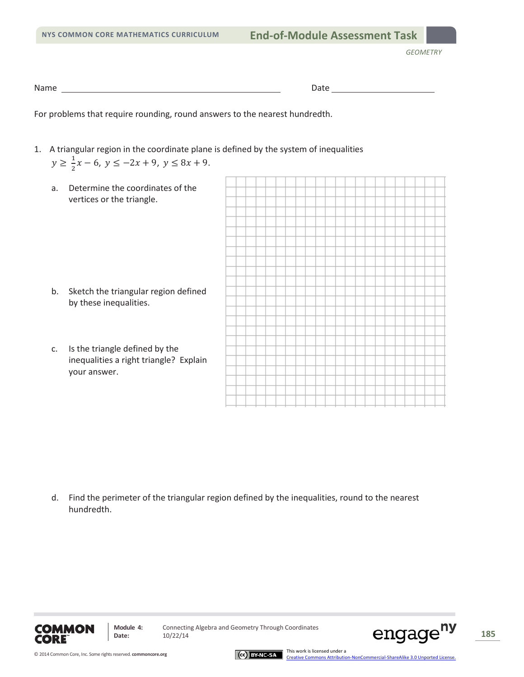*GEOMETRY*

Name Date

For problems that require rounding, round answers to the nearest hundredth.

- 1. A triangular region in the coordinate plane is defined by the system of inequalities  $y \ge \frac{1}{2}x - 6$ ,  $y \le -2x + 9$ ,  $y \le 8x + 9$ .
	- a. Determine the coordinates of the vertices or the triangle.

- b. Sketch the triangular region defined by these inequalities.
- c. Is the triangle defined by the inequalities a right triangle? Explain your answer.



d. Find the perimeter of the triangular region defined by the inequalities, round to the nearest hundredth.



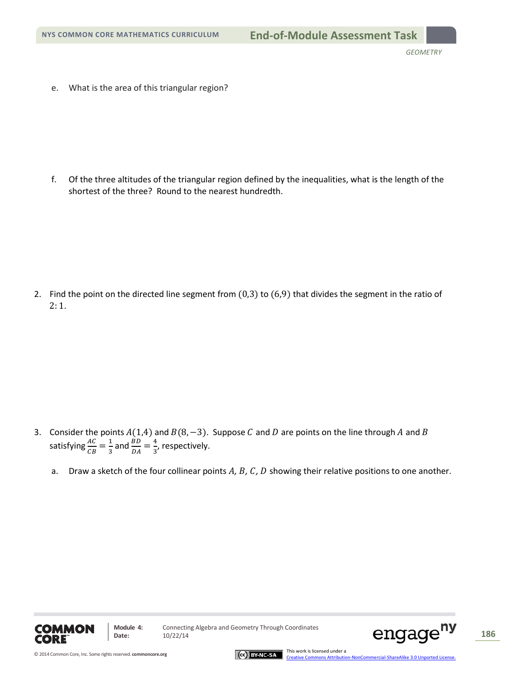e. What is the area of this triangular region?

f. Of the three altitudes of the triangular region defined by the inequalities, what is the length of the shortest of the three? Round to the nearest hundredth.

2. Find the point on the directed line segment from (0,3) to (6,9) that divides the segment in the ratio of 2: 1.

- 3. Consider the points  $A(1,4)$  and  $B(8, -3)$ . Suppose C and D are points on the line through A and B satisfying  $\frac{AC}{CB} = \frac{1}{3}$  and  $\frac{BD}{DA} = \frac{4}{3}$ , respectively.
	- a. Draw a sketch of the four collinear points *A*, *B*, *C*, *D* showing their relative positions to one another.





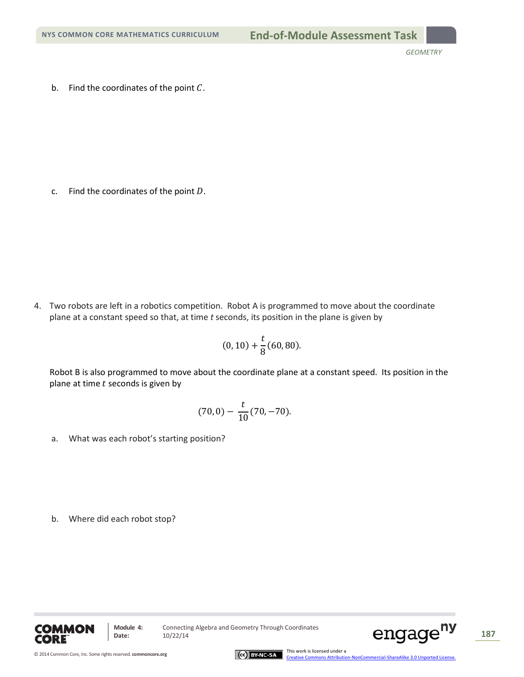b. Find the coordinates of the point  $C$ .

c. Find the coordinates of the point  $D$ .

4. Two robots are left in a robotics competition. Robot A is programmed to move about the coordinate plane at a constant speed so that, at time *t* seconds, its position in the plane is given by

$$
(0,10)+\frac{t}{8}(60,80).
$$

Robot B is also programmed to move about the coordinate plane at a constant speed. Its position in the plane at time  $t$  seconds is given by

$$
(70,0) - \frac{t}{10}(70,-70).
$$

a. What was each robot's starting position?

b. Where did each robot stop?



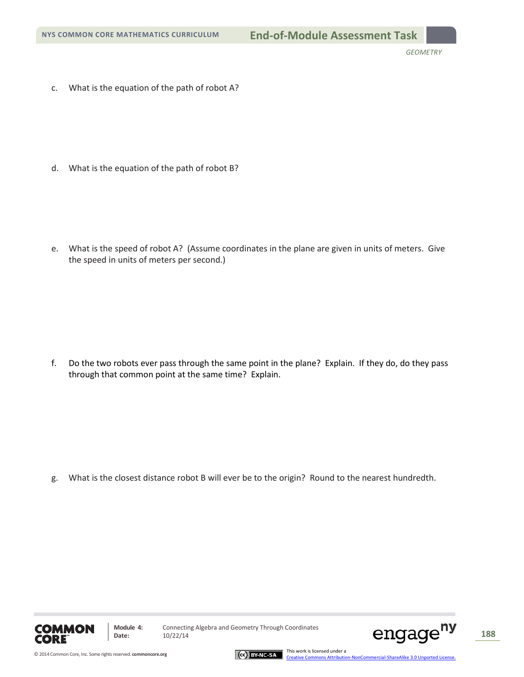c. What is the equation of the path of robot A?

d. What is the equation of the path of robot B?

e. What is the speed of robot A? (Assume coordinates in the plane are given in units of meters. Give the speed in units of meters per second.)

f. Do the two robots ever pass through the same point in the plane? Explain. If they do, do they pass through that common point at the same time? Explain.

g. What is the closest distance robot B will ever be to the origin? Round to the nearest hundredth.



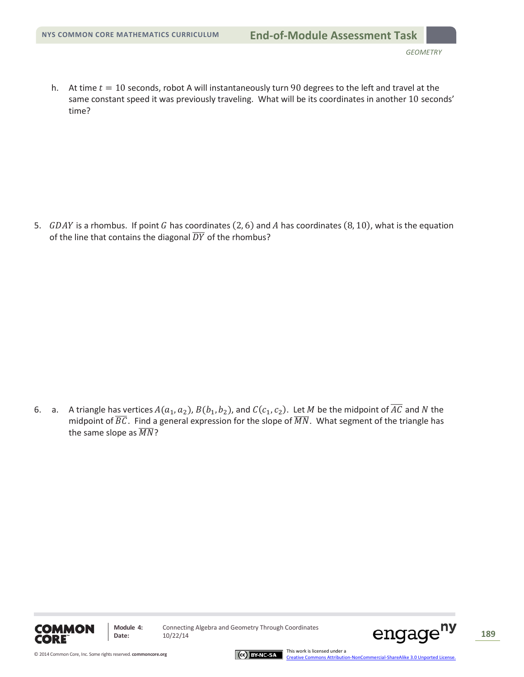h. At time  $t = 10$  seconds, robot A will instantaneously turn 90 degrees to the left and travel at the same constant speed it was previously traveling. What will be its coordinates in another 10 seconds' time?

5.  $GDAY$  is a rhombus. If point G has coordinates (2, 6) and A has coordinates (8, 10), what is the equation of the line that contains the diagonal  $\overline{DY}$  of the rhombus?

6. a. A triangle has vertices  $A(a_1, a_2)$ ,  $B(b_1, b_2)$ , and  $C(c_1, c_2)$ . Let M be the midpoint of  $\overline{AC}$  and N the midpoint of  $BC$ . Find a general expression for the slope of  $MN$ . What segment of the triangle has the same slope as  $\overline{MN}$ ?





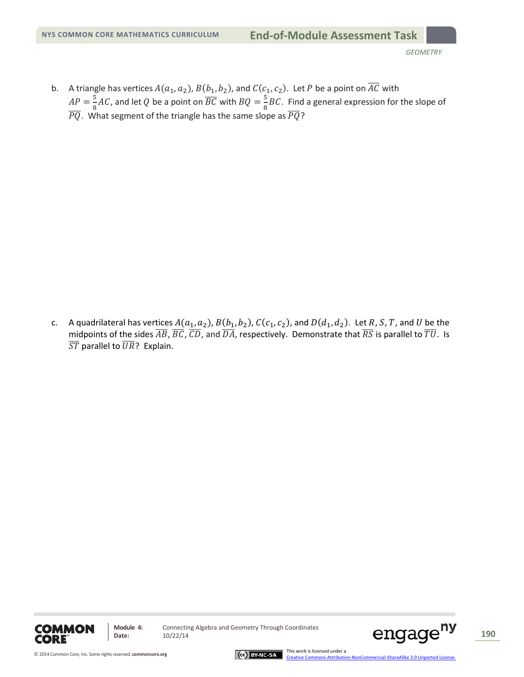b. A triangle has vertices  $A(a_1, a_2)$ ,  $B(b_1, b_2)$ , and  $C(c_1, c_2)$ . Let P be a point on  $\overline{AC}$  with  $AP = \frac{5}{8}AC$ , and let Q be a point on  $\overline{BC}$  with  $BQ = \frac{5}{8}BC$ . Find a general expression for the slope of  $\overline{PQ}$ . What segment of the triangle has the same slope as  $\overline{PQ}$ ?

A quadrilateral has vertices  $A(a_1, a_2)$ ,  $B(b_1, b_2)$ ,  $C(c_1, c_2)$ , and  $D(d_1, d_2)$ . Let R, S, T, and U be the  $C.$ midpoints of the sides  $\overline{AB}$ ,  $\overline{BC}$ ,  $\overline{CD}$ , and  $\overline{DA}$ , respectively. Demonstrate that  $\overline{RS}$  is parallel to  $\overline{TU}$ . Is  $\overline{ST}$  parallel to  $\overline{UR}$ ? Explain.





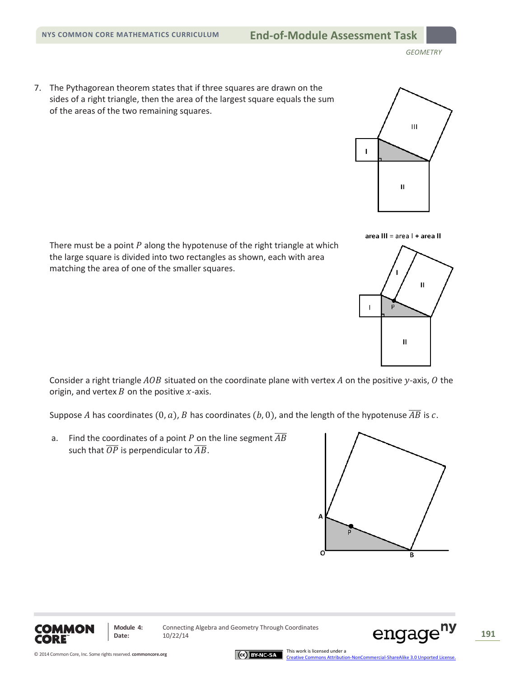7. The Pythagorean theorem states that if three squares are drawn on the sides of a right triangle, then the area of the largest square equals the sum of the areas of the two remaining squares.



area III = area I + area II



There must be a point  $P$  along the hypotenuse of the right triangle at which the large square is divided into two rectangles as shown, each with area matching the area of one of the smaller squares.

Consider a right triangle  $AOB$  situated on the coordinate plane with vertex  $A$  on the positive y-axis,  $O$  the origin, and vertex  $B$  on the positive  $x$ -axis.

Suppose A has coordinates  $(0, a)$ , B has coordinates  $(b, 0)$ , and the length of the hypotenuse  $\overline{AB}$  is c.

a. Find the coordinates of a point P on the line segment  $\overline{AB}$ such that  $\overline{OP}$  is perpendicular to  $\overline{AB}$ .







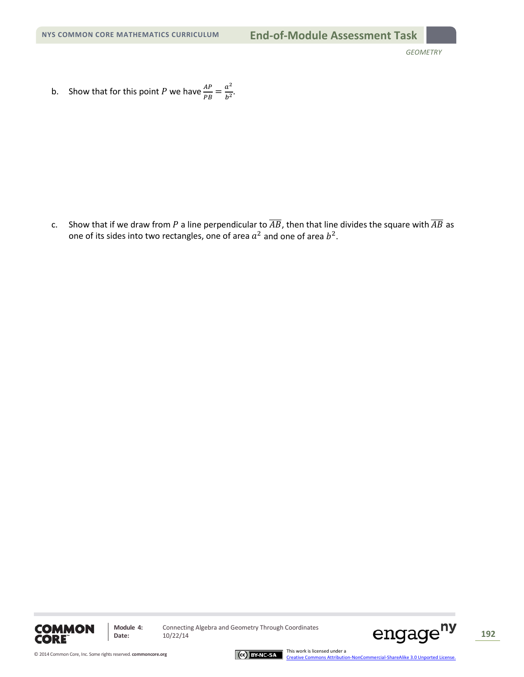b. Show that for this point P we have  $\frac{AP}{PB} = \frac{a^2}{b^2}$ .

c. Show that if we draw from P a line perpendicular to  $\overline{AB}$ , then that line divides the square with  $\overline{AB}$  as one of its sides into two rectangles, one of area  $a^2$  and one of area  $b^2$ .



**Module 4:** Connecting Algebra and Geometry Through Coordinates<br>Date:  $10/22/14$ 



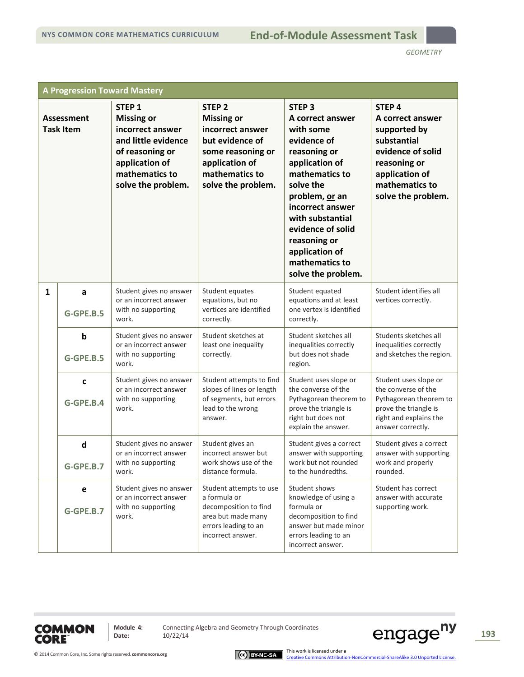| <b>A Progression Toward Mastery</b>   |                           |                                                                                                                                                                |                                                                                                                                                              |                                                                                                                                                                                                                                                                                         |                                                                                                                                                                     |
|---------------------------------------|---------------------------|----------------------------------------------------------------------------------------------------------------------------------------------------------------|--------------------------------------------------------------------------------------------------------------------------------------------------------------|-----------------------------------------------------------------------------------------------------------------------------------------------------------------------------------------------------------------------------------------------------------------------------------------|---------------------------------------------------------------------------------------------------------------------------------------------------------------------|
| <b>Assessment</b><br><b>Task Item</b> |                           | STEP <sub>1</sub><br><b>Missing or</b><br>incorrect answer<br>and little evidence<br>of reasoning or<br>application of<br>mathematics to<br>solve the problem. | STEP <sub>2</sub><br><b>Missing or</b><br>incorrect answer<br>but evidence of<br>some reasoning or<br>application of<br>mathematics to<br>solve the problem. | <b>STEP 3</b><br>A correct answer<br>with some<br>evidence of<br>reasoning or<br>application of<br>mathematics to<br>solve the<br>problem, or an<br>incorrect answer<br>with substantial<br>evidence of solid<br>reasoning or<br>application of<br>mathematics to<br>solve the problem. | STEP <sub>4</sub><br>A correct answer<br>supported by<br>substantial<br>evidence of solid<br>reasoning or<br>application of<br>mathematics to<br>solve the problem. |
| $\mathbf{1}$                          | a<br>G-GPE.B.5            | Student gives no answer<br>or an incorrect answer<br>with no supporting<br>work.                                                                               | Student equates<br>equations, but no<br>vertices are identified<br>correctly.                                                                                | Student equated<br>equations and at least<br>one vertex is identified<br>correctly.                                                                                                                                                                                                     | Student identifies all<br>vertices correctly.                                                                                                                       |
|                                       | b<br>G-GPE.B.5            | Student gives no answer<br>or an incorrect answer<br>with no supporting<br>work.                                                                               | Student sketches at<br>least one inequality<br>correctly.                                                                                                    | Student sketches all<br>inequalities correctly<br>but does not shade<br>region.                                                                                                                                                                                                         | Students sketches all<br>inequalities correctly<br>and sketches the region.                                                                                         |
|                                       | C<br>G-GPE.B.4            | Student gives no answer<br>or an incorrect answer<br>with no supporting<br>work.                                                                               | Student attempts to find<br>slopes of lines or length<br>of segments, but errors<br>lead to the wrong<br>answer.                                             | Student uses slope or<br>the converse of the<br>Pythagorean theorem to<br>prove the triangle is<br>right but does not<br>explain the answer.                                                                                                                                            | Student uses slope or<br>the converse of the<br>Pythagorean theorem to<br>prove the triangle is<br>right and explains the<br>answer correctly.                      |
|                                       | $\mathsf{d}$<br>G-GPE.B.7 | Student gives no answer<br>or an incorrect answer<br>with no supporting<br>work.                                                                               | Student gives an<br>incorrect answer but<br>work shows use of the<br>distance formula.                                                                       | Student gives a correct<br>answer with supporting<br>work but not rounded<br>to the hundredths.                                                                                                                                                                                         | Student gives a correct<br>answer with supporting<br>work and properly<br>rounded.                                                                                  |
|                                       | е<br>G-GPE.B.7            | Student gives no answer<br>or an incorrect answer<br>with no supporting<br>work.                                                                               | Student attempts to use<br>a formula or<br>decomposition to find<br>area but made many<br>errors leading to an<br>incorrect answer.                          | Student shows<br>knowledge of using a<br>formula or<br>decomposition to find<br>answer but made minor<br>errors leading to an<br>incorrect answer.                                                                                                                                      | Student has correct<br>answer with accurate<br>supporting work.                                                                                                     |



**Module 4:** Connecting Algebra and Geometry Through Coordinates<br>Date:  $10/22/14$ 



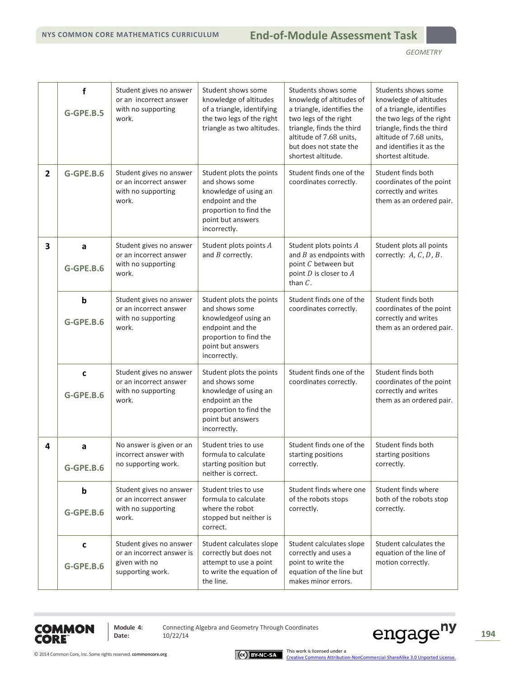|                | f<br>G-GPE.B.5           | Student gives no answer<br>or an incorrect answer<br>with no supporting<br>work.          | Student shows some<br>knowledge of altitudes<br>of a triangle, identifying<br>the two legs of the right<br>triangle as two altitudes.                  | Students shows some<br>knowledg of altitudes of<br>a triangle, identifies the<br>two legs of the right<br>triangle, finds the third<br>altitude of 7.68 units,<br>but does not state the<br>shortest altitude. | Students shows some<br>knowledge of altitudes<br>of a triangle, identifies<br>the two legs of the right<br>triangle, finds the third<br>altitude of 7.68 units,<br>and identifies it as the<br>shortest altitude. |
|----------------|--------------------------|-------------------------------------------------------------------------------------------|--------------------------------------------------------------------------------------------------------------------------------------------------------|----------------------------------------------------------------------------------------------------------------------------------------------------------------------------------------------------------------|-------------------------------------------------------------------------------------------------------------------------------------------------------------------------------------------------------------------|
| $\overline{2}$ | G-GPE.B.6                | Student gives no answer<br>or an incorrect answer<br>with no supporting<br>work.          | Student plots the points<br>and shows some<br>knowledge of using an<br>endpoint and the<br>proportion to find the<br>point but answers<br>incorrectly. | Student finds one of the<br>coordinates correctly.                                                                                                                                                             | Student finds both<br>coordinates of the point<br>correctly and writes<br>them as an ordered pair.                                                                                                                |
| 3              | a<br>G-GPE.B.6           | Student gives no answer<br>or an incorrect answer<br>with no supporting<br>work.          | Student plots points A<br>and $B$ correctly.                                                                                                           | Student plots points A<br>and $B$ as endpoints with<br>point C between but<br>point $D$ is closer to $A$<br>than $C$ .                                                                                         | Student plots all points<br>correctly: A, C, D, B.                                                                                                                                                                |
|                | $\mathbf b$<br>G-GPE.B.6 | Student gives no answer<br>or an incorrect answer<br>with no supporting<br>work.          | Student plots the points<br>and shows some<br>knowledgeof using an<br>endpoint and the<br>proportion to find the<br>point but answers<br>incorrectly.  | Student finds one of the<br>coordinates correctly.                                                                                                                                                             | Student finds both<br>coordinates of the point<br>correctly and writes<br>them as an ordered pair.                                                                                                                |
|                | C<br>G-GPE.B.6           | Student gives no answer<br>or an incorrect answer<br>with no supporting<br>work.          | Student plots the points<br>and shows some<br>knowledge of using an<br>endpoint an the<br>proportion to find the<br>point but answers<br>incorrectly.  | Student finds one of the<br>coordinates correctly.                                                                                                                                                             | Student finds both<br>coordinates of the point<br>correctly and writes<br>them as an ordered pair.                                                                                                                |
| 4              | a<br>G-GPE.B.6           | No answer is given or an<br>incorrect answer with<br>no supporting work.                  | Student tries to use<br>formula to calculate<br>starting position but<br>neither is correct.                                                           | Student finds one of the<br>starting positions<br>correctly.                                                                                                                                                   | Student finds both<br>starting positions<br>correctly.                                                                                                                                                            |
|                | $\mathbf b$<br>G-GPE.B.6 | Student gives no answer<br>or an incorrect answer<br>with no supporting<br>work.          | Student tries to use<br>formula to calculate<br>where the robot<br>stopped but neither is<br>correct.                                                  | Student finds where one<br>of the robots stops<br>correctly.                                                                                                                                                   | Student finds where<br>both of the robots stop<br>correctly.                                                                                                                                                      |
|                | C<br>G-GPE.B.6           | Student gives no answer<br>or an incorrect answer is<br>given with no<br>supporting work. | Student calculates slope<br>correctly but does not<br>attempt to use a point<br>to write the equation of<br>the line.                                  | Student calculates slope<br>correctly and uses a<br>point to write the<br>equation of the line but<br>makes minor errors.                                                                                      | Student calculates the<br>equation of the line of<br>motion correctly.                                                                                                                                            |



**Module 4:** Connecting Algebra and Geometry Through Coordinates<br>Date:  $10/22/14$ 

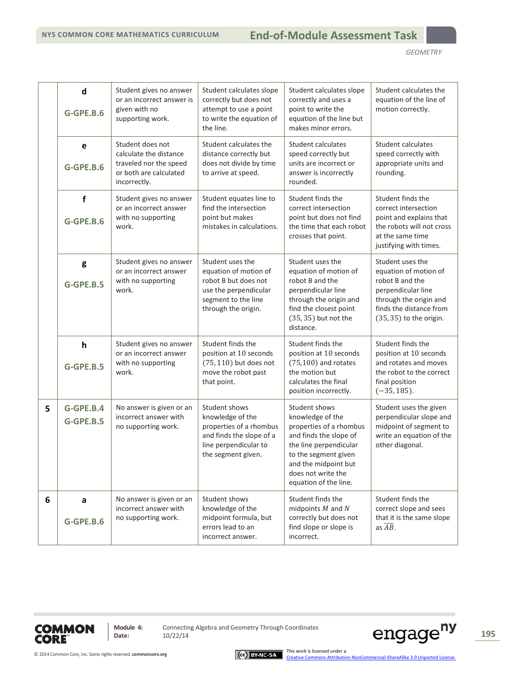|   | d<br>G-GPE.B.6            | Student gives no answer<br>or an incorrect answer is<br>given with no<br>supporting work.                      | Student calculates slope<br>correctly but does not<br>attempt to use a point<br>to write the equation of<br>the line.                    | Student calculates slope<br>correctly and uses a<br>point to write the<br>equation of the line but<br>makes minor errors.                                                                                       | Student calculates the<br>equation of the line of<br>motion correctly.                                                                                               |
|---|---------------------------|----------------------------------------------------------------------------------------------------------------|------------------------------------------------------------------------------------------------------------------------------------------|-----------------------------------------------------------------------------------------------------------------------------------------------------------------------------------------------------------------|----------------------------------------------------------------------------------------------------------------------------------------------------------------------|
|   | e<br>G-GPE.B.6            | Student does not<br>calculate the distance<br>traveled nor the speed<br>or both are calculated<br>incorrectly. | Student calculates the<br>distance correctly but<br>does not divide by time<br>to arrive at speed.                                       | Student calculates<br>speed correctly but<br>units are incorrect or<br>answer is incorrectly<br>rounded.                                                                                                        | <b>Student calculates</b><br>speed correctly with<br>appropriate units and<br>rounding.                                                                              |
|   | f<br>G-GPE.B.6            | Student gives no answer<br>or an incorrect answer<br>with no supporting<br>work.                               | Student equates line to<br>find the intersection<br>point but makes<br>mistakes in calculations.                                         | Student finds the<br>correct intersection<br>point but does not find<br>the time that each robot<br>crosses that point.                                                                                         | Student finds the<br>correct intersection<br>point and explains that<br>the robots will not cross<br>at the same time<br>justifying with times.                      |
|   | g<br>G-GPE.B.5            | Student gives no answer<br>or an incorrect answer<br>with no supporting<br>work.                               | Student uses the<br>equation of motion of<br>robot B but does not<br>use the perpendicular<br>segment to the line<br>through the origin. | Student uses the<br>equation of motion of<br>robot B and the<br>perpendicular line<br>through the origin and<br>find the closest point<br>(35, 35) but not the<br>distance.                                     | Student uses the<br>equation of motion of<br>robot B and the<br>perpendicular line<br>through the origin and<br>finds the distance from<br>$(35, 35)$ to the origin. |
|   | $\mathsf{h}$<br>G-GPE.B.5 | Student gives no answer<br>or an incorrect answer<br>with no supporting<br>work.                               | Student finds the<br>position at 10 seconds<br>$(75, 110)$ but does not<br>move the robot past<br>that point.                            | Student finds the<br>position at 10 seconds<br>$(75,100)$ and rotates<br>the motion but<br>calculates the final<br>position incorrectly.                                                                        | Student finds the<br>position at 10 seconds<br>and rotates and moves<br>the robot to the correct<br>final position<br>$(-35, 185)$ .                                 |
| 5 | $G-GPE.B.4$<br>G-GPE.B.5  | No answer is given or an<br>incorrect answer with<br>no supporting work.                                       | Student shows<br>knowledge of the<br>properties of a rhombus<br>and finds the slope of a<br>line perpendicular to<br>the segment given.  | Student shows<br>knowledge of the<br>properties of a rhombus<br>and finds the slope of<br>the line perpendicular<br>to the segment given<br>and the midpoint but<br>does not write the<br>equation of the line. | Student uses the given<br>perpendicular slope and<br>midpoint of segment to<br>write an equation of the<br>other diagonal.                                           |
| 6 | a<br>$G-GPE.B.6$          | No answer is given or an<br>incorrect answer with<br>no supporting work.                                       | Student shows<br>knowledge of the<br>midpoint formula, but<br>errors lead to an<br>incorrect answer.                                     | Student finds the<br>midpoints $M$ and $N$<br>correctly but does not<br>find slope or slope is<br>incorrect.                                                                                                    | Student finds the<br>correct slope and sees<br>that it is the same slope<br>as $\overline{AB}$ .                                                                     |



**Module 4:** Connecting Algebra and Geometry Through Coordinates<br>Date:  $10/22/14$ 



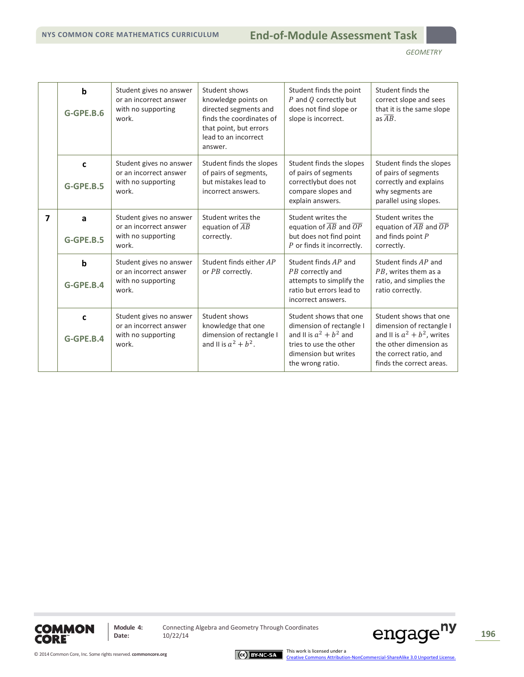|   | $\mathbf b$<br>G-GPE.B.6 | Student gives no answer<br>or an incorrect answer<br>with no supporting<br>work. | Student shows<br>knowledge points on<br>directed segments and<br>finds the coordinates of<br>that point, but errors<br>lead to an incorrect<br>answer. | Student finds the point<br>P and Q correctly but<br>does not find slope or<br>slope is incorrect.                                                     | Student finds the<br>correct slope and sees<br>that it is the same slope<br>as $\overline{AB}$ .                                                                     |
|---|--------------------------|----------------------------------------------------------------------------------|--------------------------------------------------------------------------------------------------------------------------------------------------------|-------------------------------------------------------------------------------------------------------------------------------------------------------|----------------------------------------------------------------------------------------------------------------------------------------------------------------------|
|   | C<br>G-GPE.B.5           | Student gives no answer<br>or an incorrect answer<br>with no supporting<br>work. | Student finds the slopes<br>of pairs of segments,<br>but mistakes lead to<br>incorrect answers.                                                        | Student finds the slopes<br>of pairs of segments<br>correctlybut does not<br>compare slopes and<br>explain answers.                                   | Student finds the slopes<br>of pairs of segments<br>correctly and explains<br>why segments are<br>parallel using slopes.                                             |
| 7 | a<br>G-GPE.B.5           | Student gives no answer<br>or an incorrect answer<br>with no supporting<br>work. | Student writes the<br>equation of $\overline{AB}$<br>correctly.                                                                                        | Student writes the<br>equation of $\overline{AB}$ and $\overline{OP}$<br>but does not find point<br>P or finds it incorrectly.                        | Student writes the<br>equation of $\overline{AB}$ and $\overline{OP}$<br>and finds point $P$<br>correctly.                                                           |
|   | b<br>$G-GPE.B.4$         | Student gives no answer<br>or an incorrect answer<br>with no supporting<br>work. | Student finds either AP<br>or PB correctly.                                                                                                            | Student finds AP and<br>PB correctly and<br>attempts to simplify the<br>ratio but errors lead to<br>incorrect answers.                                | Student finds AP and<br>PB, writes them as a<br>ratio, and simplies the<br>ratio correctly.                                                                          |
|   | C<br>$G-GPE.B.4$         | Student gives no answer<br>or an incorrect answer<br>with no supporting<br>work. | Student shows<br>knowledge that one<br>dimension of rectangle I<br>and II is $a^2 + b^2$ .                                                             | Student shows that one<br>dimension of rectangle I<br>and II is $a^2 + b^2$ and<br>tries to use the other<br>dimension but writes<br>the wrong ratio. | Student shows that one<br>dimension of rectangle I<br>and II is $a^2 + b^2$ , writes<br>the other dimension as<br>the correct ratio, and<br>finds the correct areas. |



**Module 4:** Connecting Algebra and Geometry Through Coordinates<br>Date:  $10/22/14$ 

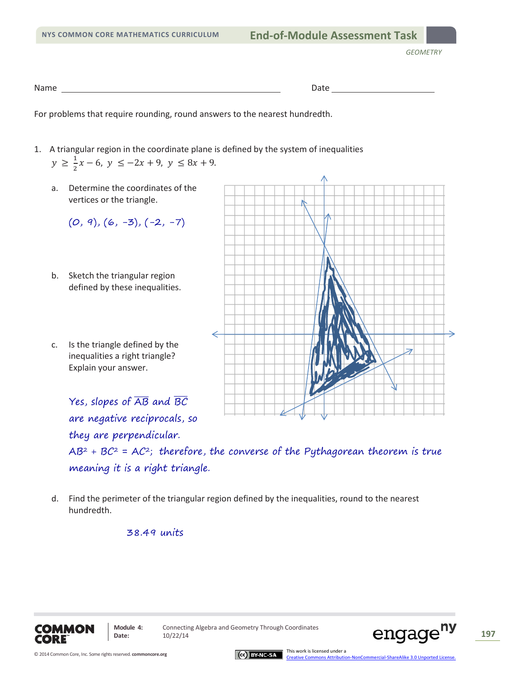| Name | Date |
|------|------|
|      |      |

For problems that require rounding, round answers to the nearest hundredth.

- 1. A triangular region in the coordinate plane is defined by the system of inequalities  $y \ge \frac{1}{2}x - 6$ ,  $y \le -2x + 9$ ,  $y \le 8x + 9$ .
	- a. Determine the coordinates of the vertices or the triangle.  $(0, 9), (6, -3), (-2, -7)$ b. Sketch the triangular region defined by these inequalities. ⇐ ⇒ c. Is the triangle defined by the inequalities a right triangle? Explain your answer. Yes, slopes of  $\overline{\mathsf{AB}}$  and BC are negative reciprocals, so they are perpendicular.

 $AB^2 + BC^2 = AC^2$ ; therefore, the converse of the Pythagorean theorem is true meaning it is a right triangle.

d. Find the perimeter of the triangular region defined by the inequalities, round to the nearest hundredth.

## 38.49 units





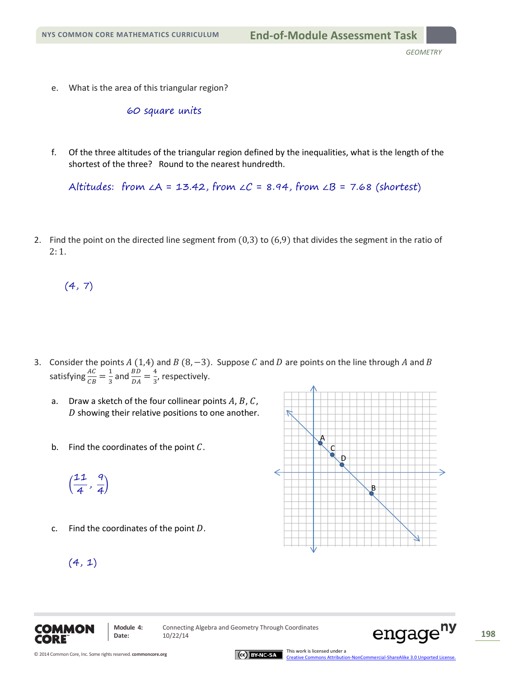e. What is the area of this triangular region?

60 square units

f. Of the three altitudes of the triangular region defined by the inequalities, what is the length of the shortest of the three? Round to the nearest hundredth.

Altitudes: from  $\angle A = 13.42$ , from  $\angle C = 8.94$ , from  $\angle B = 7.68$  (shortest)

2. Find the point on the directed line segment from  $(0,3)$  to  $(6,9)$  that divides the segment in the ratio of 2: 1.

 $(4, 7)$ 

- 3. Consider the points  $A(1,4)$  and  $B(8,-3)$ . Suppose C and D are points on the line through A and B satisfying  $\frac{AC}{CB} = \frac{1}{3}$  and  $\frac{BD}{DA} = \frac{4}{3}$ , respectively.
	- a. Draw a sketch of the four collinear points  $A, B, C$ ,  $D$  showing their relative positions to one another.
	- b. Find the coordinates of the point  $C$ .

 $\overline{\phantom{a}}$  $\frac{11}{4}, \frac{9}{4}$ 

 $(4, 1)$ 

c. Find the coordinates of the point  $D$ .

A B C D



**Module 4:** Connecting Algebra and Geometry Through Coordinates Module 4: Connecting Algebra and Geometry Through Coordinates **CNGAGC<sup>IIY</sup>** 198

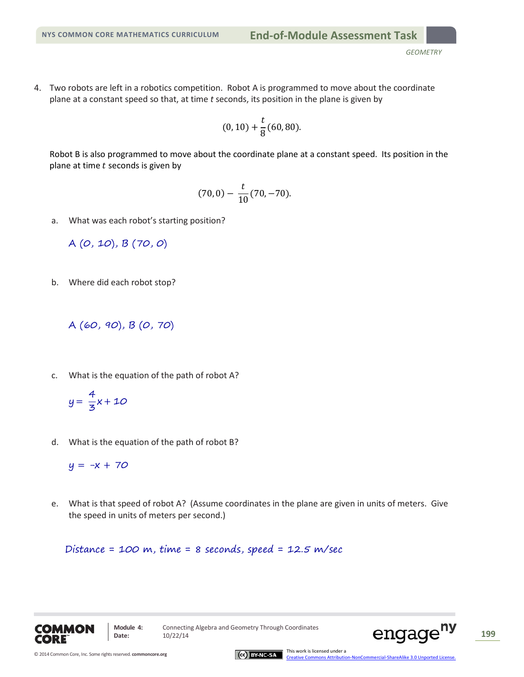4. Two robots are left in a robotics competition. Robot A is programmed to move about the coordinate plane at a constant speed so that, at time *t* seconds, its position in the plane is given by

$$
(0,10) + \frac{t}{8}(60,80).
$$

Robot B is also programmed to move about the coordinate plane at a constant speed. Its position in the plane at time  $t$  seconds is given by

$$
(70,0) - \frac{t}{10}(70,-70).
$$

a. What was each robot's starting position?

A (0, 10), B (70, 0)

b. Where did each robot stop?

```
A (60, 90), B (0, 70)
```
- c. What is the equation of the path of robot A?
	- $y = \frac{4}{3}x + 10$
- d. What is the equation of the path of robot B?

 $y = -x + 70$ 

e. What is that speed of robot A? (Assume coordinates in the plane are given in units of meters. Give the speed in units of meters per second.)

Distance = 100 m, time = 8 seconds, speed = 12.5 m/sec





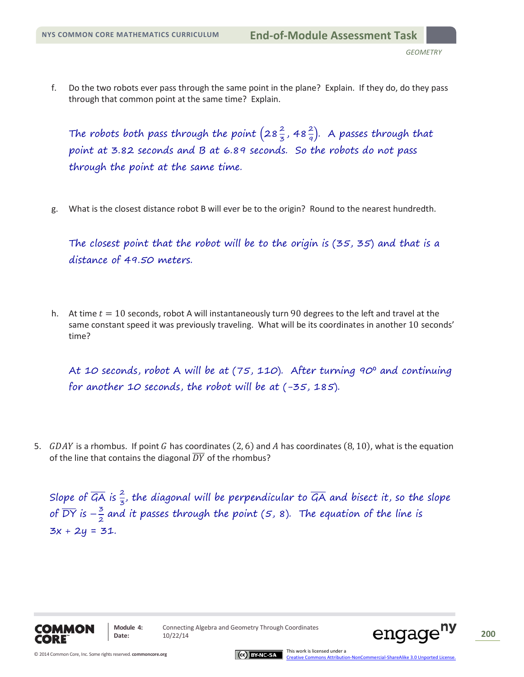f. Do the two robots ever pass through the same point in the plane? Explain. If they do, do they pass through that common point at the same time? Explain.

The robots both pass through the point  $\left(28\frac{2}{3}, 48\frac{2}{9}\right)$ . A passes through that point at 3.82 seconds and B at 6.89 seconds. So the robots do not pass through the point at the same time.

g. What is the closest distance robot B will ever be to the origin? Round to the nearest hundredth.

The closest point that the robot will be to the origin is (35, 35) and that is a distance of 49.50 meters.

h. At time  $t = 10$  seconds, robot A will instantaneously turn 90 degrees to the left and travel at the same constant speed it was previously traveling. What will be its coordinates in another 10 seconds' time?

At 10 seconds, robot A will be at (75, 110). After turning 90° and continuing for another 10 seconds, the robot will be at (-35, 185).

5. GDAY is a rhombus. If point G has coordinates (2, 6) and A has coordinates (8, 10), what is the equation of the line that contains the diagonal  $\overline{DY}$  of the rhombus?

Slope of  $\overline{G\!A}$  is  $\frac{2}{3}$ , the diagonal will be perpendicular to  $\overline{G\!A}$  and bisect it, so the slope of  $\overline{DY}$  is  $-\frac{3}{2}$  and it passes through the point (5, 8). The equation of the line is  $3x + 2y = 31$ .



**Module 4:** Connecting Algebra and Geometry Through Coordinates Module 4: Connecting Algebra and Geometry Through Coordinates **PIGAGE<sup>119</sup>** 200



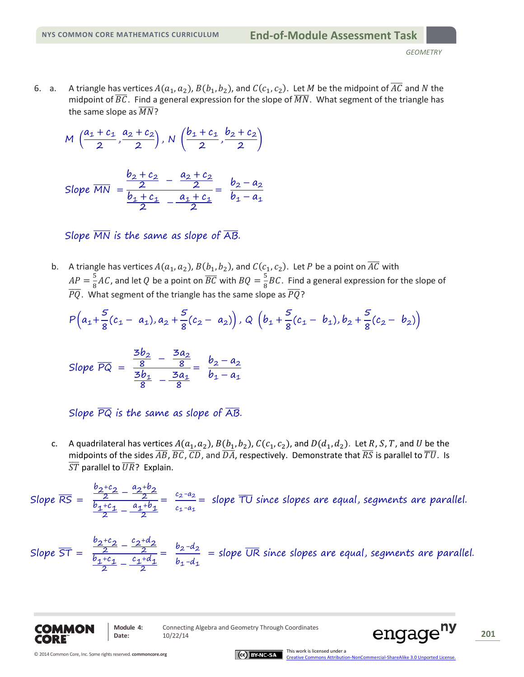A triangle has vertices  $A(a_1, a_2)$ ,  $B(b_1, b_2)$ , and  $C(c_1, c_2)$ . Let M be the midpoint of  $\overline{AC}$  and N the 6. a. midpoint of  $\overline{BC}$ . Find a general expression for the slope of  $\overline{MN}$ . What segment of the triangle has the same slope as  $\overline{MN}$ ?

$$
M\left(\frac{a_1+c_1}{2},\frac{a_2+c_2}{2}\right), N\left(\frac{b_1+c_1}{2},\frac{b_2+c_2}{2}\right)
$$

Slope MN = 
$$
\frac{\frac{b_2 + c_2}{2} - \frac{a_2 + c_2}{2}}{\frac{b_1 + c_1}{2} - \frac{a_1 + c_1}{2}} = \frac{b_2 - a_2}{b_1 - a_1}
$$

Slope  $\overline{MN}$  is the same as slope of  $\overline{AB}$ .

b. A triangle has vertices  $A(a_1, a_2)$ ,  $B(b_1, b_2)$ , and  $C(c_1, c_2)$ . Let P be a point on  $\overline{AC}$  with  $AP = \frac{5}{8}AC$ , and let Q be a point on  $\overline{BC}$  with  $BQ = \frac{5}{8}BC$ . Find a general expression for the slope of  $\overline{PQ}$ . What segment of the triangle has the same slope as  $\overline{PQ}$ ?

$$
P\left(a_1+\frac{5}{8}(c_1-a_1),a_2+\frac{5}{8}(c_2-a_2)\right), Q\left(b_1+\frac{5}{8}(c_1-b_1),b_2+\frac{5}{8}(c_2-b_2)\right)
$$

Slope 
$$
\overline{PQ}
$$
 =  $\frac{\frac{3b_2}{8} - \frac{3a_2}{8}}{\frac{3b_1}{8} - \frac{3a_1}{8}} = \frac{b_2 - a_2}{b_1 - a_1}$ 

Slope  $\overline{PQ}$  is the same as slope of  $\overline{AB}$ .

A quadrilateral has vertices  $A(a_1, a_2)$ ,  $B(b_1, b_2)$ ,  $C(c_1, c_2)$ , and  $D(d_1, d_2)$ . Let R, S, T, and U be the C. midpoints of the sides  $\overline{AB}$ ,  $\overline{BC}$ ,  $\overline{CD}$ , and  $\overline{DA}$ , respectively. Demonstrate that  $\overline{RS}$  is parallel to  $\overline{TU}$ . Is  $\overline{ST}$  parallel to  $\overline{UR}$ ? Explain.

Slope  $\overline{RS} = \frac{\frac{b_2+c_2}{2} - \frac{a_2+b_2}{2}}{\frac{b_1+c_1}{2} - \frac{a_1+b_1}{2}} = \frac{c_2-a_2}{c_1-a_1}$  slope TU since slopes are equal, segments are parallel.

Slope 
$$
\overline{ST} = \frac{\frac{b_2+c_2}{2} - \frac{c_2+d_2}{2}}{\frac{b_1+c_1}{2} - \frac{c_1+d_1}{2}} = \frac{b_2-d_2}{b_1-d_1}
$$
 = slope  $\overline{UR}$  since slopes are equal, segments are parallel.



Module 4: Date:

Connecting Algebra and Geometry Through Coordinates 10/22/14



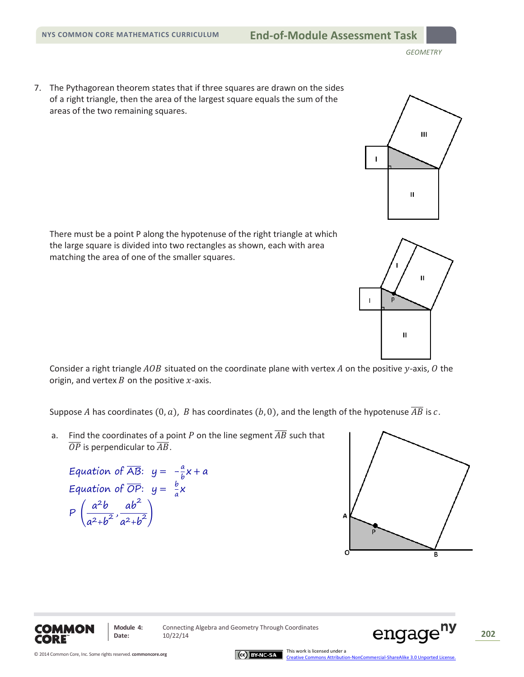7. The Pythagorean theorem states that if three squares are drawn on the sides of a right triangle, then the area of the largest square equals the sum of the areas of the two remaining squares.

There must be a point P along the hypotenuse of the right triangle at which the large square is divided into two rectangles as shown, each with area matching the area of one of the smaller squares.

Consider a right triangle  $AOB$  situated on the coordinate plane with vertex  $A$  on the positive y-axis,  $O$  the origin, and vertex  $B$  on the positive  $x$ -axis.

Suppose A has coordinates  $(0, a)$ , B has coordinates  $(b, 0)$ , and the length of the hypotenuse  $\overline{AB}$  is c.

a. Find the coordinates of a point P on the line segment  $\overline{AB}$  such that  $\overline{OP}$  is perpendicular to  $\overline{AB}$ .

Equation of 
$$
\overline{AB}
$$
:  $y = -\frac{a}{b}x + a$   
\nEquation of  $\overline{OP}$ :  $y = \frac{b}{a}x$   
\n
$$
P\left(\frac{a^2b}{a^2 + b^2}, \frac{ab^2}{a^2 + b^2}\right)
$$





**Module 4:** Connecting Algebra and Geometry Through Coordinates Module 4: Connecting Algebra and Geometry Through Coordinates<br>Date: 10/22/14 **202**